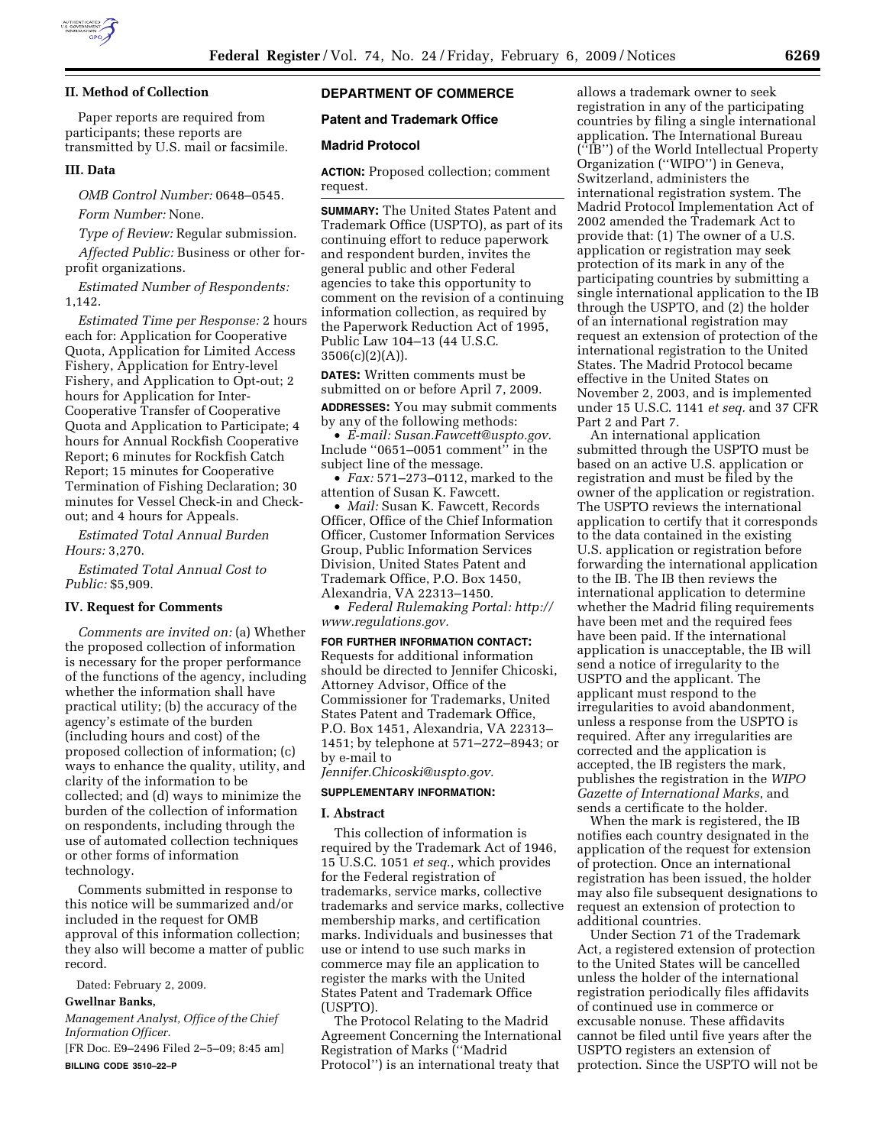

### **II. Method of Collection**

Paper reports are required from participants; these reports are transmitted by U.S. mail or facsimile.

#### **III. Data**

*OMB Control Number:* 0648–0545.

*Form Number:* None.

*Type of Review:* Regular submission.

*Affected Public:* Business or other forprofit organizations.

*Estimated Number of Respondents:*  1,142.

*Estimated Time per Response:* 2 hours each for: Application for Cooperative Quota, Application for Limited Access Fishery, Application for Entry-level Fishery, and Application to Opt-out; 2 hours for Application for Inter-Cooperative Transfer of Cooperative Quota and Application to Participate; 4 hours for Annual Rockfish Cooperative Report; 6 minutes for Rockfish Catch Report; 15 minutes for Cooperative Termination of Fishing Declaration; 30 minutes for Vessel Check-in and Checkout; and 4 hours for Appeals.

*Estimated Total Annual Burden Hours:* 3,270.

*Estimated Total Annual Cost to Public:* \$5,909.

# **IV. Request for Comments**

*Comments are invited on:* (a) Whether the proposed collection of information is necessary for the proper performance of the functions of the agency, including whether the information shall have practical utility; (b) the accuracy of the agency's estimate of the burden (including hours and cost) of the proposed collection of information; (c) ways to enhance the quality, utility, and clarity of the information to be collected; and (d) ways to minimize the burden of the collection of information on respondents, including through the use of automated collection techniques or other forms of information technology.

Comments submitted in response to this notice will be summarized and/or included in the request for OMB approval of this information collection; they also will become a matter of public record.

Dated: February 2, 2009.

# **Gwellnar Banks,**

*Management Analyst, Office of the Chief Information Officer.* 

[FR Doc. E9–2496 Filed 2–5–09; 8:45 am] **BILLING CODE 3510–22–P** 

# **DEPARTMENT OF COMMERCE**

### **Patent and Trademark Office**

### **Madrid Protocol**

**ACTION:** Proposed collection; comment request.

**SUMMARY:** The United States Patent and Trademark Office (USPTO), as part of its continuing effort to reduce paperwork and respondent burden, invites the general public and other Federal agencies to take this opportunity to comment on the revision of a continuing information collection, as required by the Paperwork Reduction Act of 1995, Public Law 104–13 (44 U.S.C.  $3506(c)(2)(A)$ .

**DATES:** Written comments must be submitted on or before April 7, 2009. **ADDRESSES:** You may submit comments by any of the following methods:

• *E-mail: Susan.Fawcett@uspto.gov.*  Include ''0651–0051 comment'' in the subject line of the message.

• *Fax:* 571–273–0112, marked to the attention of Susan K. Fawcett.

• *Mail:* Susan K. Fawcett, Records Officer, Office of the Chief Information Officer, Customer Information Services Group, Public Information Services Division, United States Patent and Trademark Office, P.O. Box 1450, Alexandria, VA 22313–1450.

• *Federal Rulemaking Portal: http:// www.regulations.gov.* 

#### **FOR FURTHER INFORMATION CONTACT:**

Requests for additional information should be directed to Jennifer Chicoski, Attorney Advisor, Office of the Commissioner for Trademarks, United States Patent and Trademark Office, P.O. Box 1451, Alexandria, VA 22313– 1451; by telephone at 571–272–8943; or by e-mail to

*Jennifer.Chicoski@uspto.gov.* 

### **SUPPLEMENTARY INFORMATION:**

#### **I. Abstract**

This collection of information is required by the Trademark Act of 1946, 15 U.S.C. 1051 *et seq.*, which provides for the Federal registration of trademarks, service marks, collective trademarks and service marks, collective membership marks, and certification marks. Individuals and businesses that use or intend to use such marks in commerce may file an application to register the marks with the United States Patent and Trademark Office (USPTO).

The Protocol Relating to the Madrid Agreement Concerning the International Registration of Marks (''Madrid Protocol'') is an international treaty that

allows a trademark owner to seek registration in any of the participating countries by filing a single international application. The International Bureau (''IB'') of the World Intellectual Property Organization (''WIPO'') in Geneva, Switzerland, administers the international registration system. The Madrid Protocol Implementation Act of 2002 amended the Trademark Act to provide that: (1) The owner of a U.S. application or registration may seek protection of its mark in any of the participating countries by submitting a single international application to the IB through the USPTO, and (2) the holder of an international registration may request an extension of protection of the international registration to the United States. The Madrid Protocol became effective in the United States on November 2, 2003, and is implemented under 15 U.S.C. 1141 *et seq.* and 37 CFR Part 2 and Part 7.

An international application submitted through the USPTO must be based on an active U.S. application or registration and must be filed by the owner of the application or registration. The USPTO reviews the international application to certify that it corresponds to the data contained in the existing U.S. application or registration before forwarding the international application to the IB. The IB then reviews the international application to determine whether the Madrid filing requirements have been met and the required fees have been paid. If the international application is unacceptable, the IB will send a notice of irregularity to the USPTO and the applicant. The applicant must respond to the irregularities to avoid abandonment, unless a response from the USPTO is required. After any irregularities are corrected and the application is accepted, the IB registers the mark, publishes the registration in the *WIPO Gazette of International Marks*, and sends a certificate to the holder.

When the mark is registered, the IB notifies each country designated in the application of the request for extension of protection. Once an international registration has been issued, the holder may also file subsequent designations to request an extension of protection to additional countries.

Under Section 71 of the Trademark Act, a registered extension of protection to the United States will be cancelled unless the holder of the international registration periodically files affidavits of continued use in commerce or excusable nonuse. These affidavits cannot be filed until five years after the USPTO registers an extension of protection. Since the USPTO will not be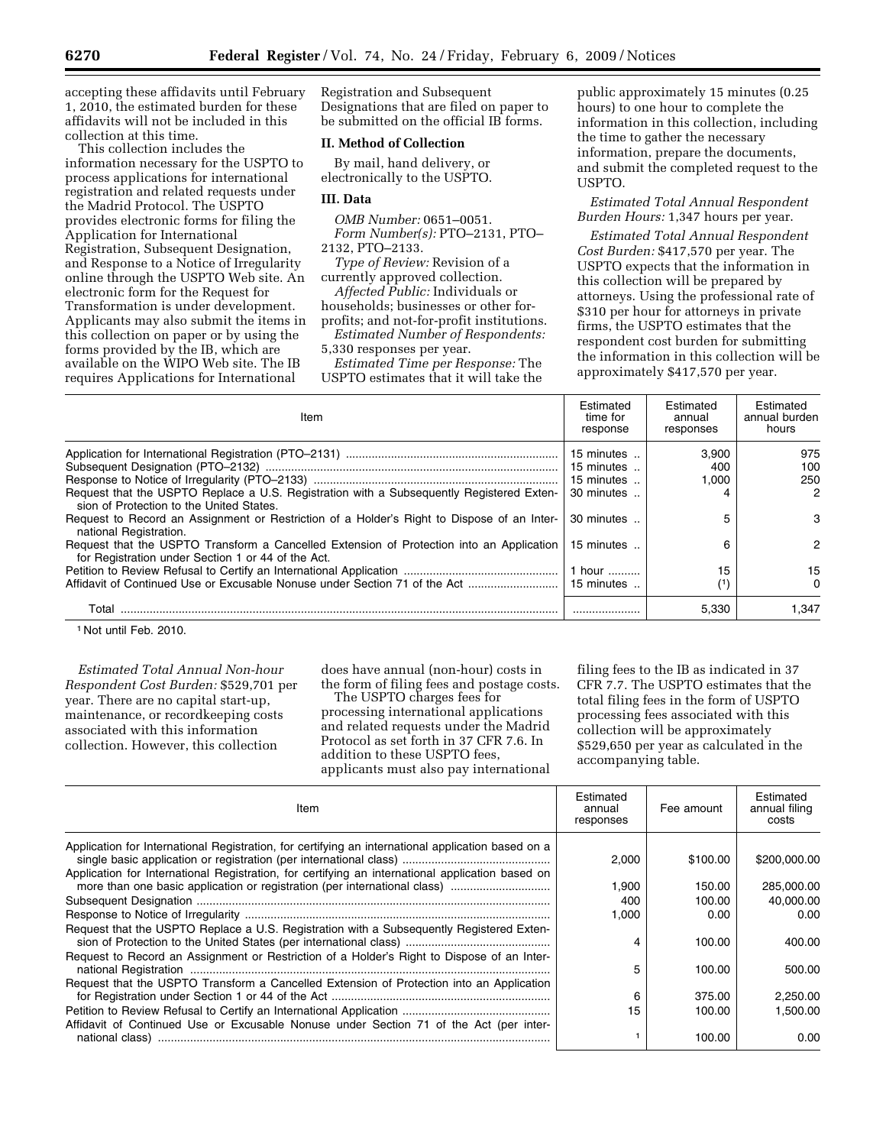accepting these affidavits until February 1, 2010, the estimated burden for these affidavits will not be included in this collection at this time.

This collection includes the information necessary for the USPTO to process applications for international registration and related requests under the Madrid Protocol. The USPTO provides electronic forms for filing the Application for International Registration, Subsequent Designation, and Response to a Notice of Irregularity online through the USPTO Web site. An electronic form for the Request for Transformation is under development. Applicants may also submit the items in this collection on paper or by using the forms provided by the IB, which are available on the WIPO Web site. The IB requires Applications for International

Registration and Subsequent Designations that are filed on paper to be submitted on the official IB forms.

### **II. Method of Collection**

By mail, hand delivery, or electronically to the USPTO.

# **III. Data**

*OMB Number:* 0651–0051. *Form Number(s):* PTO–2131, PTO–

2132, PTO–2133.

*Type of Review:* Revision of a currently approved collection.

*Affected Public:* Individuals or households; businesses or other for-

profits; and not-for-profit institutions. *Estimated Number of Respondents:* 

5,330 responses per year.

*Estimated Time per Response:* The USPTO estimates that it will take the public approximately 15 minutes (0.25 hours) to one hour to complete the information in this collection, including the time to gather the necessary information, prepare the documents, and submit the completed request to the USPTO.

# *Estimated Total Annual Respondent Burden Hours:* 1,347 hours per year.

*Estimated Total Annual Respondent Cost Burden:* \$417,570 per year. The USPTO expects that the information in this collection will be prepared by attorneys. Using the professional rate of \$310 per hour for attorneys in private firms, the USPTO estimates that the respondent cost burden for submitting the information in this collection will be approximately \$417,570 per year.

| Item                                                                                                                                                             | Estimated<br>time for<br>response                    | Estimated<br>annual<br>responses | Estimated<br>annual burden<br>hours |
|------------------------------------------------------------------------------------------------------------------------------------------------------------------|------------------------------------------------------|----------------------------------|-------------------------------------|
| Request that the USPTO Replace a U.S. Registration with a Subsequently Registered Exten-                                                                         | 15 minutes<br>15 minutes<br>15 minutes<br>30 minutes | 3.900<br>400<br>1.000            | 975<br>100<br>250<br>2              |
| sion of Protection to the United States.<br>Request to Record an Assignment or Restriction of a Holder's Right to Dispose of an Inter-<br>national Registration. | 30 minutes                                           |                                  | 3                                   |
| Request that the USPTO Transform a Cancelled Extension of Protection into an Application<br>for Registration under Section 1 or 44 of the Act.                   | 15 minutes<br>1 hour                                 | 15                               | 2<br>15                             |
| Affidavit of Continued Use or Excusable Nonuse under Section 71 of the Act                                                                                       | 15 minutes                                           | (1)                              | 0                                   |
| Total                                                                                                                                                            |                                                      | 5.330                            | 1.347                               |

1 Not until Feb. 2010.

*Estimated Total Annual Non-hour Respondent Cost Burden:* \$529,701 per year. There are no capital start-up, maintenance, or recordkeeping costs associated with this information collection. However, this collection

does have annual (non-hour) costs in the form of filing fees and postage costs.

The USPTO charges fees for processing international applications and related requests under the Madrid Protocol as set forth in 37 CFR 7.6. In addition to these USPTO fees, applicants must also pay international

filing fees to the IB as indicated in 37 CFR 7.7. The USPTO estimates that the total filing fees in the form of USPTO processing fees associated with this collection will be approximately \$529,650 per year as calculated in the accompanying table.

| Item                                                                                                                                                                                                   | Estimated<br>annual<br>responses | Fee amount | Estimated<br>annual filing<br>costs |
|--------------------------------------------------------------------------------------------------------------------------------------------------------------------------------------------------------|----------------------------------|------------|-------------------------------------|
| Application for International Registration, for certifying an international application based on a<br>Application for International Registration, for certifying an international application based on | 2.000                            | \$100.00   | \$200,000.00                        |
|                                                                                                                                                                                                        | 1.900                            | 150.00     | 285,000.00                          |
|                                                                                                                                                                                                        | 400                              | 100.00     | 40.000.00                           |
|                                                                                                                                                                                                        | 1.000                            | 0.00       | 0.00                                |
| Request that the USPTO Replace a U.S. Registration with a Subsequently Registered Exten-<br>Request to Record an Assignment or Restriction of a Holder's Right to Dispose of an Inter-                 | 4                                | 100.00     | 400.00                              |
|                                                                                                                                                                                                        | 5                                | 100.00     | 500.00                              |
| Request that the USPTO Transform a Cancelled Extension of Protection into an Application                                                                                                               | 6                                | 375.00     | 2,250.00                            |
|                                                                                                                                                                                                        | 15                               | 100.00     | 1,500.00                            |
| Affidavit of Continued Use or Excusable Nonuse under Section 71 of the Act (per inter-                                                                                                                 |                                  | 100.00     | 0.00                                |